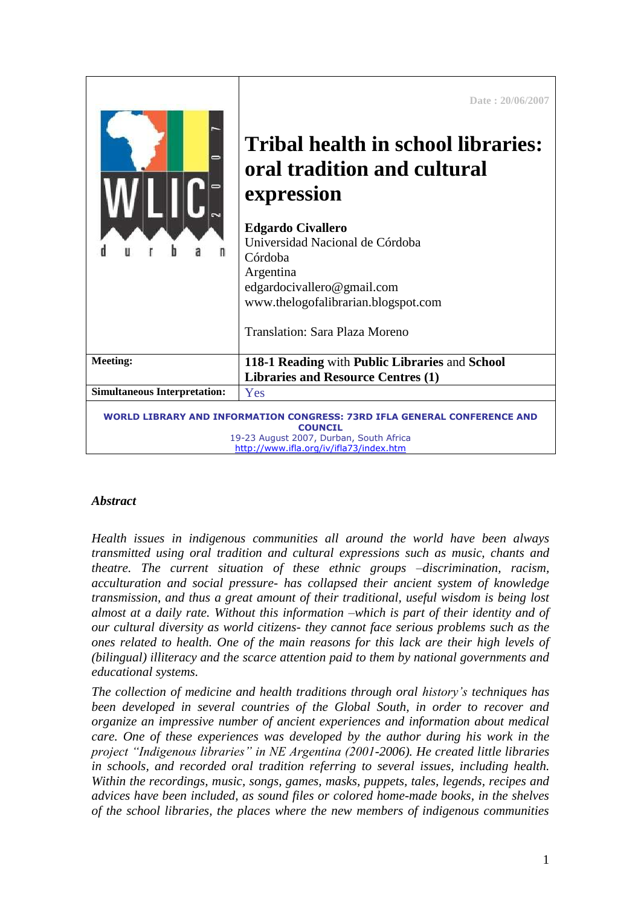|                                                                                                                                                                                  | Date: 20/06/2007<br>Tribal health in school libraries:<br>oral tradition and cultural<br>expression<br><b>Edgardo Civallero</b><br>Universidad Nacional de Córdoba<br>Córdoba<br>Argentina<br>edgardocivallero@gmail.com<br>www.thelogofalibrarian.blogspot.com<br><b>Translation: Sara Plaza Moreno</b> |
|----------------------------------------------------------------------------------------------------------------------------------------------------------------------------------|----------------------------------------------------------------------------------------------------------------------------------------------------------------------------------------------------------------------------------------------------------------------------------------------------------|
| <b>Meeting:</b>                                                                                                                                                                  | 118-1 Reading with Public Libraries and School                                                                                                                                                                                                                                                           |
|                                                                                                                                                                                  | <b>Libraries and Resource Centres (1)</b>                                                                                                                                                                                                                                                                |
| <b>Simultaneous Interpretation:</b>                                                                                                                                              | Yes                                                                                                                                                                                                                                                                                                      |
| WORLD LIBRARY AND INFORMATION CONGRESS: 73RD IFLA GENERAL CONFERENCE AND<br><b>COUNCIL</b><br>19-23 August 2007, Durban, South Africa<br>http://www.ifla.org/jy/ifla73/index.htm |                                                                                                                                                                                                                                                                                                          |

# *Abstract*

*Health issues in indigenous communities all around the world have been always transmitted using oral tradition and cultural expressions such as music, chants and theatre. The current situation of these ethnic groups –discrimination, racism, acculturation and social pressure- has collapsed their ancient system of knowledge transmission, and thus a great amount of their traditional, useful wisdom is being lost almost at a daily rate. Without this information –which is part of their identity and of our cultural diversity as world citizens- they cannot face serious problems such as the ones related to health. One of the main reasons for this lack are their high levels of (bilingual) illiteracy and the scarce attention paid to them by national governments and educational systems.*

*The collection of medicine and health traditions through oral history's techniques has been developed in several countries of the Global South, in order to recover and organize an impressive number of ancient experiences and information about medical care. One of these experiences was developed by the author during his work in the project "Indigenous libraries" in NE Argentina (2001-2006). He created little libraries in schools, and recorded oral tradition referring to several issues, including health. Within the recordings, music, songs, games, masks, puppets, tales, legends, recipes and advices have been included, as sound files or colored home-made books, in the shelves of the school libraries, the places where the new members of indigenous communities*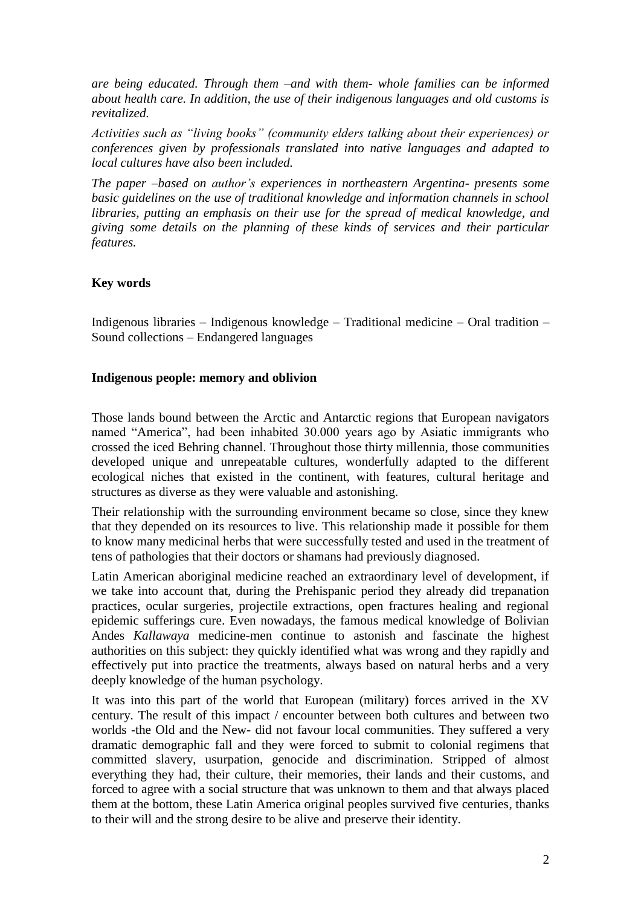*are being educated. Through them –and with them- whole families can be informed about health care. In addition, the use of their indigenous languages and old customs is revitalized.*

*Activities such as "living books" (community elders talking about their experiences) or conferences given by professionals translated into native languages and adapted to local cultures have also been included.*

*The paper –based on author's experiences in northeastern Argentina- presents some basic guidelines on the use of traditional knowledge and information channels in school libraries, putting an emphasis on their use for the spread of medical knowledge, and giving some details on the planning of these kinds of services and their particular features.*

## **Key words**

Indigenous libraries – Indigenous knowledge – Traditional medicine – Oral tradition – Sound collections – Endangered languages

## **Indigenous people: memory and oblivion**

Those lands bound between the Arctic and Antarctic regions that European navigators named "America", had been inhabited 30.000 years ago by Asiatic immigrants who crossed the iced Behring channel. Throughout those thirty millennia, those communities developed unique and unrepeatable cultures, wonderfully adapted to the different ecological niches that existed in the continent, with features, cultural heritage and structures as diverse as they were valuable and astonishing.

Their relationship with the surrounding environment became so close, since they knew that they depended on its resources to live. This relationship made it possible for them to know many medicinal herbs that were successfully tested and used in the treatment of tens of pathologies that their doctors or shamans had previously diagnosed.

Latin American aboriginal medicine reached an extraordinary level of development, if we take into account that, during the Prehispanic period they already did trepanation practices, ocular surgeries, projectile extractions, open fractures healing and regional epidemic sufferings cure. Even nowadays, the famous medical knowledge of Bolivian Andes *Kallawaya* medicine-men continue to astonish and fascinate the highest authorities on this subject: they quickly identified what was wrong and they rapidly and effectively put into practice the treatments, always based on natural herbs and a very deeply knowledge of the human psychology.

It was into this part of the world that European (military) forces arrived in the XV century. The result of this impact / encounter between both cultures and between two worlds -the Old and the New- did not favour local communities. They suffered a very dramatic demographic fall and they were forced to submit to colonial regimens that committed slavery, usurpation, genocide and discrimination. Stripped of almost everything they had, their culture, their memories, their lands and their customs, and forced to agree with a social structure that was unknown to them and that always placed them at the bottom, these Latin America original peoples survived five centuries, thanks to their will and the strong desire to be alive and preserve their identity.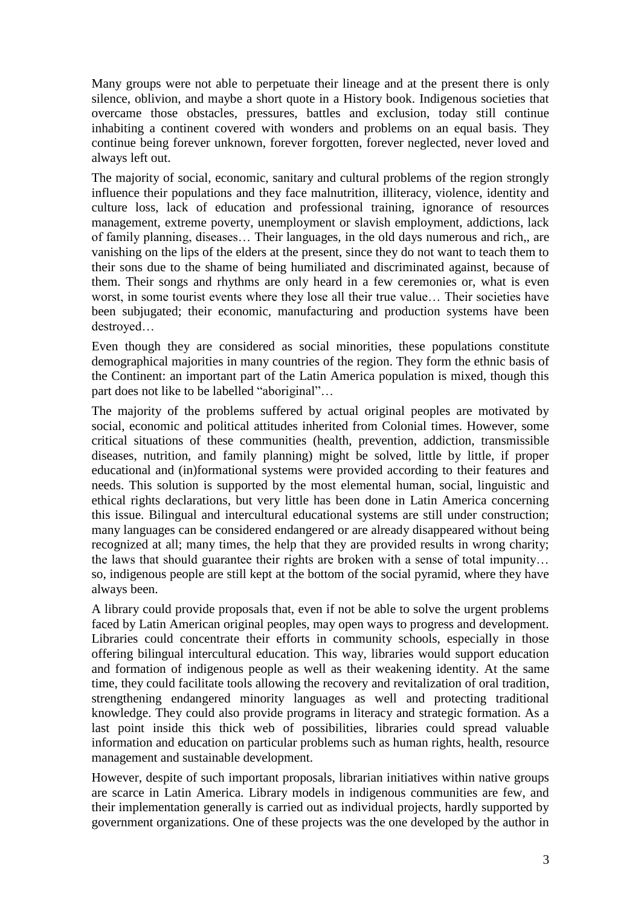Many groups were not able to perpetuate their lineage and at the present there is only silence, oblivion, and maybe a short quote in a History book. Indigenous societies that overcame those obstacles, pressures, battles and exclusion, today still continue inhabiting a continent covered with wonders and problems on an equal basis. They continue being forever unknown, forever forgotten, forever neglected, never loved and always left out.

The majority of social, economic, sanitary and cultural problems of the region strongly influence their populations and they face malnutrition, illiteracy, violence, identity and culture loss, lack of education and professional training, ignorance of resources management, extreme poverty, unemployment or slavish employment, addictions, lack of family planning, diseases… Their languages, in the old days numerous and rich,, are vanishing on the lips of the elders at the present, since they do not want to teach them to their sons due to the shame of being humiliated and discriminated against, because of them. Their songs and rhythms are only heard in a few ceremonies or, what is even worst, in some tourist events where they lose all their true value… Their societies have been subjugated; their economic, manufacturing and production systems have been destroyed…

Even though they are considered as social minorities, these populations constitute demographical majorities in many countries of the region. They form the ethnic basis of the Continent: an important part of the Latin America population is mixed, though this part does not like to be labelled "aboriginal"…

The majority of the problems suffered by actual original peoples are motivated by social, economic and political attitudes inherited from Colonial times. However, some critical situations of these communities (health, prevention, addiction, transmissible diseases, nutrition, and family planning) might be solved, little by little, if proper educational and (in)formational systems were provided according to their features and needs. This solution is supported by the most elemental human, social, linguistic and ethical rights declarations, but very little has been done in Latin America concerning this issue. Bilingual and intercultural educational systems are still under construction; many languages can be considered endangered or are already disappeared without being recognized at all; many times, the help that they are provided results in wrong charity; the laws that should guarantee their rights are broken with a sense of total impunity… so, indigenous people are still kept at the bottom of the social pyramid, where they have always been.

A library could provide proposals that, even if not be able to solve the urgent problems faced by Latin American original peoples, may open ways to progress and development. Libraries could concentrate their efforts in community schools, especially in those offering bilingual intercultural education. This way, libraries would support education and formation of indigenous people as well as their weakening identity. At the same time, they could facilitate tools allowing the recovery and revitalization of oral tradition, strengthening endangered minority languages as well and protecting traditional knowledge. They could also provide programs in literacy and strategic formation. As a last point inside this thick web of possibilities, libraries could spread valuable information and education on particular problems such as human rights, health, resource management and sustainable development.

However, despite of such important proposals, librarian initiatives within native groups are scarce in Latin America. Library models in indigenous communities are few, and their implementation generally is carried out as individual projects, hardly supported by government organizations. One of these projects was the one developed by the author in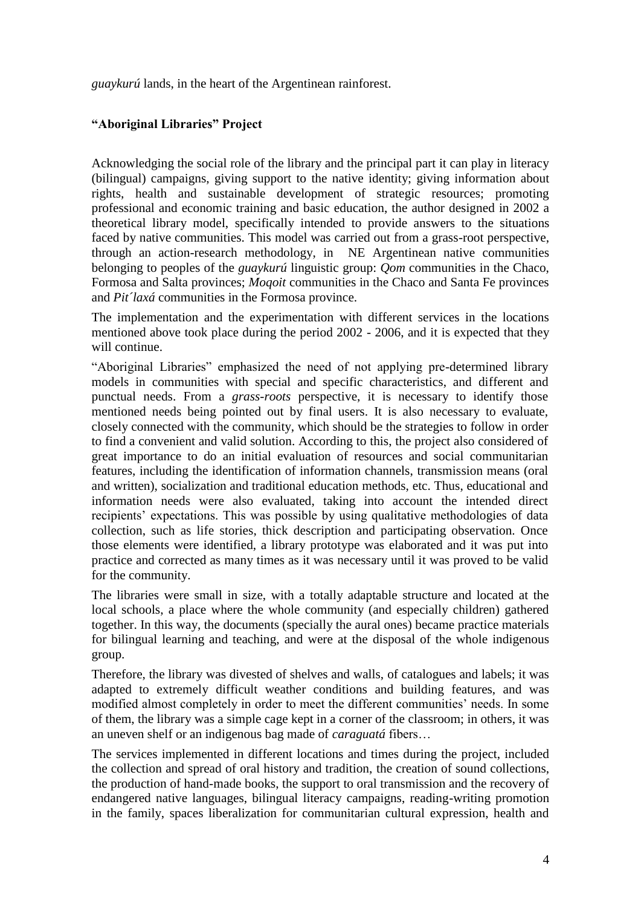*guaykurú* lands, in the heart of the Argentinean rainforest.

# **"Aboriginal Libraries" Project**

Acknowledging the social role of the library and the principal part it can play in literacy (bilingual) campaigns, giving support to the native identity; giving information about rights, health and sustainable development of strategic resources; promoting professional and economic training and basic education, the author designed in 2002 a theoretical library model, specifically intended to provide answers to the situations faced by native communities. This model was carried out from a grass-root perspective, through an action-research methodology, in NE Argentinean native communities belonging to peoples of the *guaykurú* linguistic group: *Qom* communities in the Chaco, Formosa and Salta provinces; *Moqoit* communities in the Chaco and Santa Fe provinces and *Pit´laxá* communities in the Formosa province.

The implementation and the experimentation with different services in the locations mentioned above took place during the period 2002 - 2006, and it is expected that they will continue.

"Aboriginal Libraries" emphasized the need of not applying pre-determined library models in communities with special and specific characteristics, and different and punctual needs. From a *grass-roots* perspective, it is necessary to identify those mentioned needs being pointed out by final users. It is also necessary to evaluate, closely connected with the community, which should be the strategies to follow in order to find a convenient and valid solution. According to this, the project also considered of great importance to do an initial evaluation of resources and social communitarian features, including the identification of information channels, transmission means (oral and written), socialization and traditional education methods, etc. Thus, educational and information needs were also evaluated, taking into account the intended direct recipients' expectations. This was possible by using qualitative methodologies of data collection, such as life stories, thick description and participating observation. Once those elements were identified, a library prototype was elaborated and it was put into practice and corrected as many times as it was necessary until it was proved to be valid for the community.

The libraries were small in size, with a totally adaptable structure and located at the local schools, a place where the whole community (and especially children) gathered together. In this way, the documents (specially the aural ones) became practice materials for bilingual learning and teaching, and were at the disposal of the whole indigenous group.

Therefore, the library was divested of shelves and walls, of catalogues and labels; it was adapted to extremely difficult weather conditions and building features, and was modified almost completely in order to meet the different communities' needs. In some of them, the library was a simple cage kept in a corner of the classroom; in others, it was an uneven shelf or an indigenous bag made of *caraguatá* fibers…

The services implemented in different locations and times during the project, included the collection and spread of oral history and tradition, the creation of sound collections, the production of hand-made books, the support to oral transmission and the recovery of endangered native languages, bilingual literacy campaigns, reading-writing promotion in the family, spaces liberalization for communitarian cultural expression, health and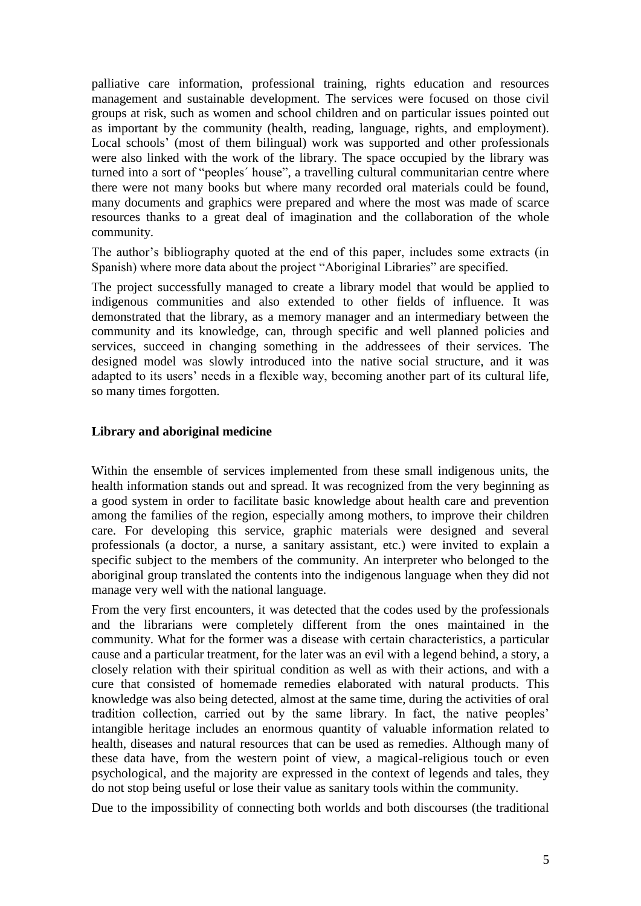palliative care information, professional training, rights education and resources management and sustainable development. The services were focused on those civil groups at risk, such as women and school children and on particular issues pointed out as important by the community (health, reading, language, rights, and employment). Local schools' (most of them bilingual) work was supported and other professionals were also linked with the work of the library. The space occupied by the library was turned into a sort of "peoples´ house", a travelling cultural communitarian centre where there were not many books but where many recorded oral materials could be found, many documents and graphics were prepared and where the most was made of scarce resources thanks to a great deal of imagination and the collaboration of the whole community.

The author's bibliography quoted at the end of this paper, includes some extracts (in Spanish) where more data about the project "Aboriginal Libraries" are specified.

The project successfully managed to create a library model that would be applied to indigenous communities and also extended to other fields of influence. It was demonstrated that the library, as a memory manager and an intermediary between the community and its knowledge, can, through specific and well planned policies and services, succeed in changing something in the addressees of their services. The designed model was slowly introduced into the native social structure, and it was adapted to its users' needs in a flexible way, becoming another part of its cultural life, so many times forgotten.

#### **Library and aboriginal medicine**

Within the ensemble of services implemented from these small indigenous units, the health information stands out and spread. It was recognized from the very beginning as a good system in order to facilitate basic knowledge about health care and prevention among the families of the region, especially among mothers, to improve their children care. For developing this service, graphic materials were designed and several professionals (a doctor, a nurse, a sanitary assistant, etc.) were invited to explain a specific subject to the members of the community. An interpreter who belonged to the aboriginal group translated the contents into the indigenous language when they did not manage very well with the national language.

From the very first encounters, it was detected that the codes used by the professionals and the librarians were completely different from the ones maintained in the community. What for the former was a disease with certain characteristics, a particular cause and a particular treatment, for the later was an evil with a legend behind, a story, a closely relation with their spiritual condition as well as with their actions, and with a cure that consisted of homemade remedies elaborated with natural products. This knowledge was also being detected, almost at the same time, during the activities of oral tradition collection, carried out by the same library. In fact, the native peoples' intangible heritage includes an enormous quantity of valuable information related to health, diseases and natural resources that can be used as remedies. Although many of these data have, from the western point of view, a magical-religious touch or even psychological, and the majority are expressed in the context of legends and tales, they do not stop being useful or lose their value as sanitary tools within the community.

Due to the impossibility of connecting both worlds and both discourses (the traditional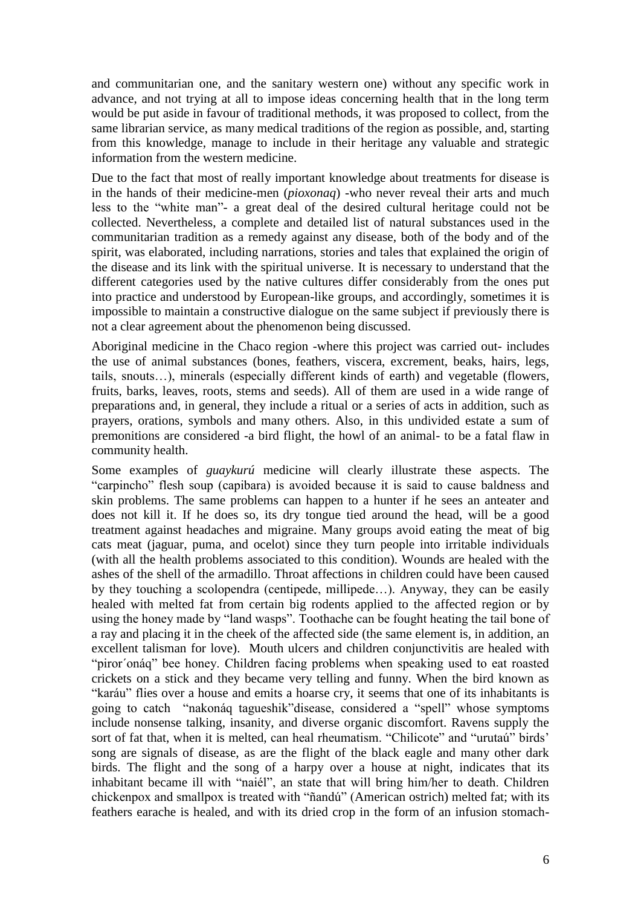and communitarian one, and the sanitary western one) without any specific work in advance, and not trying at all to impose ideas concerning health that in the long term would be put aside in favour of traditional methods, it was proposed to collect, from the same librarian service, as many medical traditions of the region as possible, and, starting from this knowledge, manage to include in their heritage any valuable and strategic information from the western medicine.

Due to the fact that most of really important knowledge about treatments for disease is in the hands of their medicine-men (*pioxonaq*) -who never reveal their arts and much less to the "white man"- a great deal of the desired cultural heritage could not be collected. Nevertheless, a complete and detailed list of natural substances used in the communitarian tradition as a remedy against any disease, both of the body and of the spirit, was elaborated, including narrations, stories and tales that explained the origin of the disease and its link with the spiritual universe. It is necessary to understand that the different categories used by the native cultures differ considerably from the ones put into practice and understood by European-like groups, and accordingly, sometimes it is impossible to maintain a constructive dialogue on the same subject if previously there is not a clear agreement about the phenomenon being discussed.

Aboriginal medicine in the Chaco region -where this project was carried out- includes the use of animal substances (bones, feathers, viscera, excrement, beaks, hairs, legs, tails, snouts…), minerals (especially different kinds of earth) and vegetable (flowers, fruits, barks, leaves, roots, stems and seeds). All of them are used in a wide range of preparations and, in general, they include a ritual or a series of acts in addition, such as prayers, orations, symbols and many others. Also, in this undivided estate a sum of premonitions are considered -a bird flight, the howl of an animal- to be a fatal flaw in community health.

Some examples of *guaykurú* medicine will clearly illustrate these aspects. The "carpincho" flesh soup (capibara) is avoided because it is said to cause baldness and skin problems. The same problems can happen to a hunter if he sees an anteater and does not kill it. If he does so, its dry tongue tied around the head, will be a good treatment against headaches and migraine. Many groups avoid eating the meat of big cats meat (jaguar, puma, and ocelot) since they turn people into irritable individuals (with all the health problems associated to this condition). Wounds are healed with the ashes of the shell of the armadillo. Throat affections in children could have been caused by they touching a scolopendra (centipede, millipede…). Anyway, they can be easily healed with melted fat from certain big rodents applied to the affected region or by using the honey made by "land wasps". Toothache can be fought heating the tail bone of a ray and placing it in the cheek of the affected side (the same element is, in addition, an excellent talisman for love). Mouth ulcers and children conjunctivitis are healed with "piror´onáq" bee honey. Children facing problems when speaking used to eat roasted crickets on a stick and they became very telling and funny. When the bird known as "karáu" flies over a house and emits a hoarse cry, it seems that one of its inhabitants is going to catch "nakonáq tagueshik"disease, considered a "spell" whose symptoms include nonsense talking, insanity, and diverse organic discomfort. Ravens supply the sort of fat that, when it is melted, can heal rheumatism. "Chilicote" and "urutaú" birds' song are signals of disease, as are the flight of the black eagle and many other dark birds. The flight and the song of a harpy over a house at night, indicates that its inhabitant became ill with "naiél", an state that will bring him/her to death. Children chickenpox and smallpox is treated with "ñandú" (American ostrich) melted fat; with its feathers earache is healed, and with its dried crop in the form of an infusion stomach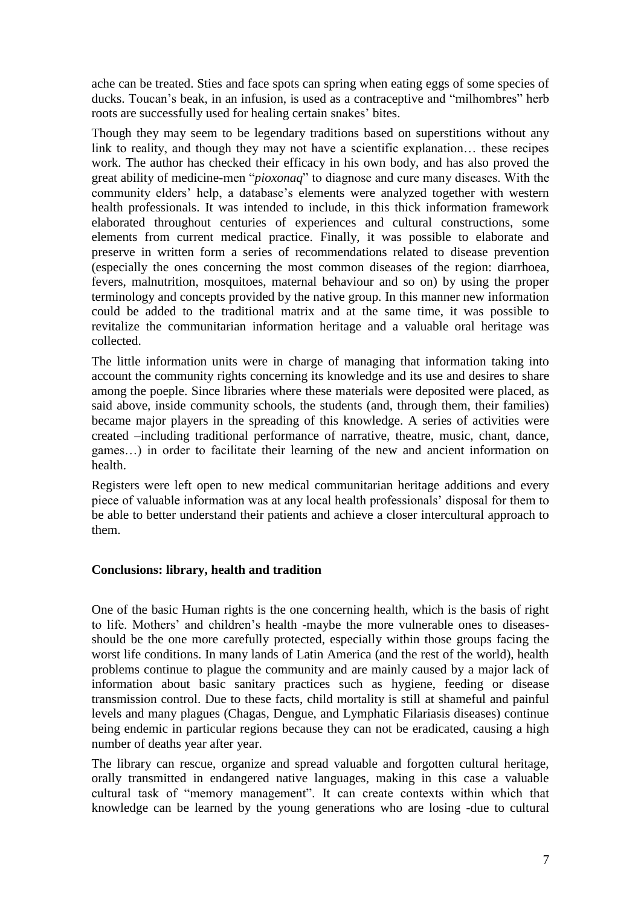ache can be treated. Sties and face spots can spring when eating eggs of some species of ducks. Toucan's beak, in an infusion, is used as a contraceptive and "milhombres" herb roots are successfully used for healing certain snakes' bites.

Though they may seem to be legendary traditions based on superstitions without any link to reality, and though they may not have a scientific explanation… these recipes work. The author has checked their efficacy in his own body, and has also proved the great ability of medicine-men "*pioxonaq*" to diagnose and cure many diseases. With the community elders' help, a database's elements were analyzed together with western health professionals. It was intended to include, in this thick information framework elaborated throughout centuries of experiences and cultural constructions, some elements from current medical practice. Finally, it was possible to elaborate and preserve in written form a series of recommendations related to disease prevention (especially the ones concerning the most common diseases of the region: diarrhoea, fevers, malnutrition, mosquitoes, maternal behaviour and so on) by using the proper terminology and concepts provided by the native group. In this manner new information could be added to the traditional matrix and at the same time, it was possible to revitalize the communitarian information heritage and a valuable oral heritage was collected.

The little information units were in charge of managing that information taking into account the community rights concerning its knowledge and its use and desires to share among the poeple. Since libraries where these materials were deposited were placed, as said above, inside community schools, the students (and, through them, their families) became major players in the spreading of this knowledge. A series of activities were created –including traditional performance of narrative, theatre, music, chant, dance, games…) in order to facilitate their learning of the new and ancient information on health.

Registers were left open to new medical communitarian heritage additions and every piece of valuable information was at any local health professionals' disposal for them to be able to better understand their patients and achieve a closer intercultural approach to them.

# **Conclusions: library, health and tradition**

One of the basic Human rights is the one concerning health, which is the basis of right to life. Mothers' and children's health -maybe the more vulnerable ones to diseasesshould be the one more carefully protected, especially within those groups facing the worst life conditions. In many lands of Latin America (and the rest of the world), health problems continue to plague the community and are mainly caused by a major lack of information about basic sanitary practices such as hygiene, feeding or disease transmission control. Due to these facts, child mortality is still at shameful and painful levels and many plagues (Chagas, Dengue, and Lymphatic Filariasis diseases) continue being endemic in particular regions because they can not be eradicated, causing a high number of deaths year after year.

The library can rescue, organize and spread valuable and forgotten cultural heritage, orally transmitted in endangered native languages, making in this case a valuable cultural task of "memory management". It can create contexts within which that knowledge can be learned by the young generations who are losing -due to cultural